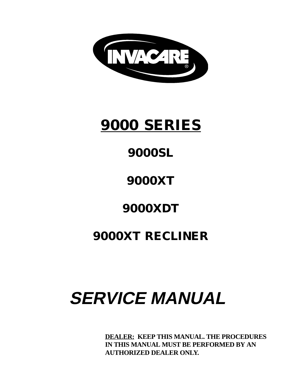

# **9000 SERIES**

## **9000SL**

## **9000XT**

### **9000XDT**

### **9000XT RECLINER**

# **SERVICE MANUAL**

**DEALER: KEEP THIS MANUAL. THE PROCEDURES IN THIS MANUAL MUST BE PERFORMED BY AN AUTHORIZED DEALER ONLY.**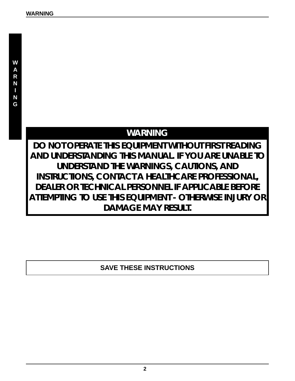### **WARNING**

**DO NOT OPERATE THIS EQUIPMENT WITHOUT FIRST READING AND UNDERSTANDING THIS MANUAL. IF YOU ARE UNABLE TO UNDERSTAND THE WARNINGS, CAUTIONS, AND INSTRUCTIONS, CONTACT A HEALTHCARE PROFESSIONAL, DEALER OR TECHNICAL PERSONNEL IF APPLICABLE BEFORE ATTEMPTING TO USE THIS EQUIPMENT - OTHERWISE INJURY OR DAMAGE MAY RESULT.**

### **SAVE THESE INSTRUCTIONS**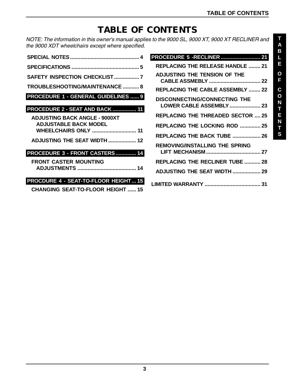### **TABLE OF CONTENTS**

NOTE: The information in this owner's manual applies to the 9000 SL, 9000 XT, 9000 XT RECLINER and the 9000 XDT wheelchairs except where specified.

| <b>TROUBLESHOOTING/MAINTENANCE  8</b>                                |
|----------------------------------------------------------------------|
| <b>PROCEDURE 1 - GENERAL GUIDELINES  9</b>                           |
|                                                                      |
| <b>PROCEDURE 2 - SEAT AND BACK  11</b>                               |
| <b>ADJUSTING BACK ANGLE - 9000XT</b><br><b>ADJUSTABLE BACK MODEL</b> |
| <b>WHEELCHAIRS ONLY  11</b>                                          |
| <b>ADJUSTING THE SEAT WIDTH  12</b>                                  |
| PROCEDURE 3 - FRONT CASTERS 14                                       |
| <b>FRONT CASTER MOUNTING</b>                                         |
|                                                                      |
| PROCDURE 4 - SEAT-TO-FLOOR HEIGHT 15                                 |
| <b>CHANGING SEAT-TO-FLOOR HEIGHT  15</b>                             |

| PROCEDURE 5 - RECLINER  21                                      |
|-----------------------------------------------------------------|
| <b>REPLACING THE RELEASE HANDLE  21</b>                         |
| ADJUSTING THE TENSION OF THE                                    |
| <b>REPLACING THE CABLE ASSEMBLY  22</b>                         |
| DISCONNECTING/CONNECTING THE<br><b>LOWER CABLE ASSEMBLY  23</b> |
| REPLACING THE THREADED SECTOR  25                               |
| <b>REPLACING THE LOCKING ROD  25</b>                            |
| <b>REPLACING THE BACK TUBE  26</b>                              |
| REMOVING/INSTALLING THE SPRING                                  |
| <b>REPLACING THE RECLINER TUBE  28</b>                          |
| <b>ADJUSTING THE SEAT WIDTH  29</b>                             |
|                                                                 |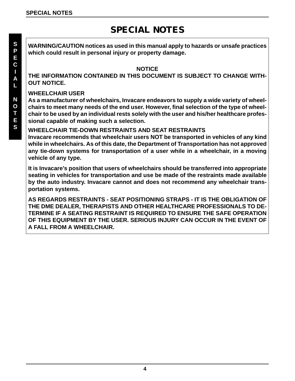### **SPECIAL NOTES**

**WARNING/CAUTION notices as used in this manual apply to hazards or unsafe practices which could result in personal injury or property damage.**

#### **NOTICE**

**THE INFORMATION CONTAINED IN THIS DOCUMENT IS SUBJECT TO CHANGE WITH-OUT NOTICE.**

#### **WHEELCHAIR USER**

**As a manufacturer of wheelchairs, Invacare endeavors to supply a wide variety of wheelchairs to meet many needs of the end user. However, final selection of the type of wheelchair to be used by an individual rests solely with the user and his/her healthcare professional capable of making such a selection.**

#### **WHEELCHAIR TIE-DOWN RESTRAINTS AND SEAT RESTRAINTS**

**Invacare recommends that wheelchair users NOT be transported in vehicles of any kind while in wheelchairs. As of this date, the Department of Transportation has not approved any tie-down systems for transportation of a user while in a wheelchair, in a moving vehicle of any type.**

**It is Invacare's position that users of wheelchairs should be transferred into appropriate seating in vehicles for transportation and use be made of the restraints made available by the auto industry. Invacare cannot and does not recommend any wheelchair transportation systems.**

**AS REGARDS RESTRAINTS - SEAT POSITIONING STRAPS - IT IS THE OBLIGATION OF THE DME DEALER, THERAPISTS AND OTHER HEALTHCARE PROFESSIONALS TO DE-TERMINE IF A SEATING RESTRAINT IS REQUIRED TO ENSURE THE SAFE OPERATION OF THIS EQUIPMENT BY THE USER. SERIOUS INJURY CAN OCCUR IN THE EVENT OF A FALL FROM A WHEELCHAIR.**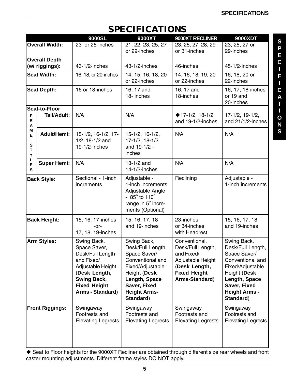### **SPECIFICATIONS**

|                                                                                                   |                       | 9000SL                                                                                                                                                               | 9000XT                                                                                                                                                                        | 9000XT RECLINER                                                                                                                 | 9000XDT                                                                                                                                                                        |
|---------------------------------------------------------------------------------------------------|-----------------------|----------------------------------------------------------------------------------------------------------------------------------------------------------------------|-------------------------------------------------------------------------------------------------------------------------------------------------------------------------------|---------------------------------------------------------------------------------------------------------------------------------|--------------------------------------------------------------------------------------------------------------------------------------------------------------------------------|
|                                                                                                   | <b>Overall Width:</b> | 23 or 25-inches                                                                                                                                                      | $\overline{21}$ , 22, 23, 25, 27<br>or 29-inches                                                                                                                              | 23, 25, 27, 28, 29<br>or 31-inches                                                                                              | 23, 25, 27 or<br>29-inches                                                                                                                                                     |
| <b>Overall Depth</b><br>(w/ riggings):                                                            |                       | 43-1/2-inches                                                                                                                                                        | 43-1/2-inches                                                                                                                                                                 | 46-inches                                                                                                                       | 45-1/2-inches                                                                                                                                                                  |
| <b>Seat Width:</b>                                                                                |                       | 16, 18, or 20-inches                                                                                                                                                 | 14, 15, 16, 18, 20<br>or 22-inches                                                                                                                                            | 14, 16, 18, 19, 20<br>or 22-inches                                                                                              | 16, 18, 20 or<br>22-inches                                                                                                                                                     |
| <b>Seat Depth:</b>                                                                                |                       | 16 or 18-inches                                                                                                                                                      | 16, 17 and<br>18- inches                                                                                                                                                      | 16, 17 and<br>18-inches                                                                                                         | 16, 17, 18-inches<br>or 19 and<br>20-inches                                                                                                                                    |
| Seat-to-Floor<br><b>Tall/Adult:</b><br>F<br>R<br>Α<br>Μ<br><b>Adult/Hemi:</b><br>E<br>S<br>т<br>Υ |                       | N/A                                                                                                                                                                  | N/A                                                                                                                                                                           | ◆ 17-1/2, 18-1/2,<br>and 19-1/2-inches                                                                                          |                                                                                                                                                                                |
|                                                                                                   |                       | 15-1/2, 16-1/2, 17-<br>$1/2$ , 18-1/2 and<br>$19-1/2$ -inches                                                                                                        | $15-1/2$ , $16-1/2$ ,<br>17-1/2, 18-1/2<br>and 19-1/2 -<br>inches                                                                                                             | N/A                                                                                                                             | N/A                                                                                                                                                                            |
| L<br>E<br>S                                                                                       | <b>Super Hemi:</b>    | N/A                                                                                                                                                                  | $13-1/2$ and<br>$14-1/2$ -inches                                                                                                                                              | N/A                                                                                                                             | N/A                                                                                                                                                                            |
| <b>Back Style:</b>                                                                                |                       | Sectional - 1-inch<br>increments                                                                                                                                     | Adjustable -<br>1-inch increments<br>Adjustable Angle<br>$-85^{\circ}$ to 110 $^{\circ}$<br>range in 5° incre-<br>ments (Optional)                                            | Reclining                                                                                                                       | Adjustable -<br>1-inch increments                                                                                                                                              |
|                                                                                                   | <b>Back Height:</b>   | 15, 16, 17-inches<br>-or-<br>17, 18, 19-inches                                                                                                                       | 15, 16, 17, 18<br>and 19-inches                                                                                                                                               | 23-inches<br>or 34-inches<br>with Headrest                                                                                      | 15, 16, 17, 18<br>and 19-inches                                                                                                                                                |
| <b>Arm Styles:</b>                                                                                |                       | Swing Back,<br>Space Saver,<br>Desk/Full Length<br>and Fixed/<br>Adjustable Height<br>(Desk Length,<br><b>Swing Back,</b><br><b>Fixed Height</b><br>Arms - Standard) | Swing Back,<br>Desk/Full Length,<br>Space Saver/<br>Conventional and<br>Fixed/Adjustable<br>Height (Desk<br>Length, Space<br>Saver, Fixed<br><b>Height Arms-</b><br>Standard) | Conventional,<br>Desk/Full Length,<br>and Fixed/<br>Adjustable Height<br>(Desk Length,<br><b>Fixed Height</b><br>Arms-Standard) | Swing Back,<br>Desk/Full Length,<br>Space Saver/<br>Conventional and<br>Fixed/Adjustable<br>Height (Desk<br>Length, Space<br>Saver, Fixed<br><b>Height Arms -</b><br>Standard) |
| <b>Front Riggings:</b>                                                                            |                       | Swingaway<br>Footrests and<br><b>Elevating Legrests</b>                                                                                                              | Swingaway<br>Footrests and<br><b>Elevating Legrests</b>                                                                                                                       | Swingaway<br>Footrests and<br><b>Elevating Legrests</b>                                                                         | Swingaway<br>Footrests and<br><b>Elevating Legrests</b>                                                                                                                        |

 Seat to Floor heights for the 9000XT Recliner are obtained through different size rear wheels and front caster mounting adjustments. Different frame styles DO NOT apply.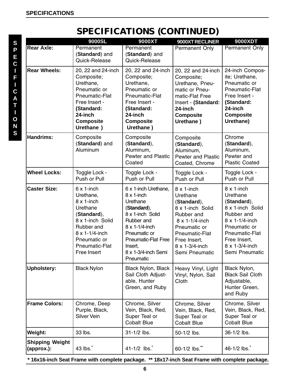**S P E C I F I C A T I O N S**

### **SPECIFICATIONS (CONTINUED)**

|                                      | 9000SL                                                                                                                                                                         | 9000XT                                                                                                                                                                                                                 | 9000XT RECLINER                                                                                                                                                                         | 9000XDT                                                                                                                                                                                 |
|--------------------------------------|--------------------------------------------------------------------------------------------------------------------------------------------------------------------------------|------------------------------------------------------------------------------------------------------------------------------------------------------------------------------------------------------------------------|-----------------------------------------------------------------------------------------------------------------------------------------------------------------------------------------|-----------------------------------------------------------------------------------------------------------------------------------------------------------------------------------------|
| <b>Rear Axle:</b>                    | Permanent<br>(Standard) and<br>Quick-Release                                                                                                                                   | Permanent<br>(Standard) and<br>Quick-Release                                                                                                                                                                           | <b>Permanent Only</b>                                                                                                                                                                   | <b>Permanent Only</b>                                                                                                                                                                   |
| <b>Rear Wheels:</b>                  | 20, 22 and 24-inch<br>Composite;<br>Urethane,<br>Pneumatic or<br>Pneumatic-Flat<br>Free Insert -<br>(Standard:<br>24-inch<br><b>Composite</b><br>Urethane )                    | 20, 22 and 24-inch<br>Composite;<br>Urethane,<br>Pneumatic or<br>Pneumatic-Flat<br>Free Insert -<br>(Standard:<br>24-inch<br><b>Composite</b><br>Urethane)                                                             | 20, 22 and 24-inch<br>Composite;<br>Urethane, Pneu-<br>matic or Pneu-<br>matic-Flat Free<br>Insert - (Standard:<br>24-inch<br><b>Composite</b><br>Urethane)                             | 24-inch Compos-<br>ite; Urethane,<br>Pneumatic or<br>Pneumatic-Flat<br>Free Insert -<br>(Standard:<br>24-inch<br><b>Composite</b><br>Urethane)                                          |
| <b>Handrims:</b>                     | Composite<br>(Standard) and<br>Aluminum                                                                                                                                        | Composite<br>(Standard),<br>Aluminum,<br><b>Pewter and Plastic</b><br>Coated                                                                                                                                           | Composite<br>(Standard),<br>Aluminum,<br><b>Pewter and Plastic</b><br>Coated, Chrome                                                                                                    | Chrome<br>(Standard),<br>Aluminum,<br>Pewter and<br><b>Plastic Coated</b>                                                                                                               |
| <b>Wheel Locks:</b>                  | Toggle Lock -<br>Push or Pull                                                                                                                                                  | Toggle Lock -<br>Push or Pull                                                                                                                                                                                          | Toggle Lock -<br>Push or Pull                                                                                                                                                           | Toggle Lock -<br>Push or Pull                                                                                                                                                           |
| <b>Caster Size:</b>                  | $6x1$ -inch<br>Urethane,<br>$8 \times 1$ -inch<br>Urethane<br>(Standard),<br>8 x 1-inch Solid<br>Rubber and<br>8 x 1-1/4-inch<br>Pneumatic or<br>Pneumatic-Flat<br>Free Insert | 6 x 1-inch Urethane,<br>$8 \times 1$ -inch<br>Urethane<br>(Standard),<br>8 x 1-inch Solid<br>Rubber and<br>8 x 1-1/4-inch<br>Pneumatic or<br><b>Pneumatic-Flat Free</b><br>Insert,<br>8 x 1-3/4-inch Semi<br>Pneumatic | $8 \times 1$ -inch<br>Urethane<br>(Standard),<br>8 x 1-inch Solid<br>Rubber and<br>8 x 1-1/4-inch<br>Pneumatic or<br>Pneumatic-Flat<br>Free Insert,<br>8 x 1-3/4-inch<br>Semi Pneumatic | $8 \times 1$ -inch<br>Urethane<br>(Standard),<br>8 x 1-inch Solid<br>Rubber and<br>8 x 1-1/4-inch<br>Pneumatic or<br>Pneumatic-Flat<br>Free Insert,<br>8 x 1-3/4-inch<br>Semi Pneumatic |
| <b>Upholstery:</b>                   | <b>Black Nylon</b>                                                                                                                                                             | <b>Black Nylon, Black</b><br>Sail Cloth Adjust-<br>able, Hunter<br>Green, and Ruby                                                                                                                                     | Heavy Vinyl, Light<br>Vinyl, Nylon, Sail<br>Cloth                                                                                                                                       | Black Nylon,<br><b>Black Sail Cloth</b><br>Adjustable,<br>Hunter Green,<br>and Ruby                                                                                                     |
| <b>Frame Colors:</b>                 | Chrome, Deep<br>Purple, Black,<br><b>Silver Vein</b>                                                                                                                           | Chrome, Silver<br>Vein, Black, Red,<br>Super Teal or<br><b>Cobalt Blue</b>                                                                                                                                             | Chrome, Silver<br>Vein, Black, Red,<br>Super Teal or<br><b>Cobalt Blue</b>                                                                                                              | Chrome, Silver<br>Vein, Black, Red,<br>Super Teal or<br><b>Cobalt Blue</b>                                                                                                              |
| <b>Weight:</b>                       | 33 lbs.                                                                                                                                                                        | 31-1/2 lbs.                                                                                                                                                                                                            | 50-1/2 lbs.                                                                                                                                                                             | 36-1/2 lbs.                                                                                                                                                                             |
| <b>Shipping Weight</b><br>(approx.): | 43 lbs.                                                                                                                                                                        | 41-1/2 $\,$ lbs.                                                                                                                                                                                                       | 60-1/2 lbs."                                                                                                                                                                            | 46-1/2 lbs.                                                                                                                                                                             |

 **\* 16x16-inch Seat Frame with complete package. \*\* 18x17-inch Seat Frame with complete package.**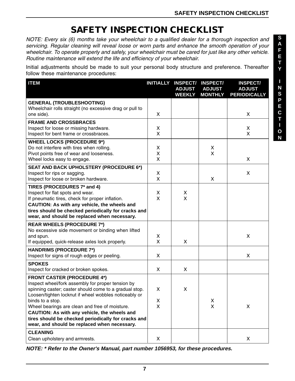### **SAFETY INSPECTION CHECKLIST**

NOTE: Every six (6) months take your wheelchair to a qualified dealer for a thorough inspection and servicing. Regular cleaning will reveal loose or worn parts and enhance the smooth operation of your wheelchair. To operate properly and safely, your wheelchair must be cared for just like any other vehicle. Routine maintenance will extend the life and efficiency of your wheelchair.

Initial adjustments should be made to suit your personal body structure and preference. Thereafter follow these maintenance procedures:

| <b>ITEM</b>                                                                                                                                                                                                                                                                                                                                                                                                                             | <b>INITIALLY</b> | <b>INSPECT/</b><br><b>ADJUST</b><br><b>WEEKLY</b> | <b>INSPECT/</b><br><b>ADJUST</b><br><b>MONTHLY</b> | <b>INSPECT/</b><br><b>ADJUST</b><br><b>PERIODICALLY</b> |
|-----------------------------------------------------------------------------------------------------------------------------------------------------------------------------------------------------------------------------------------------------------------------------------------------------------------------------------------------------------------------------------------------------------------------------------------|------------------|---------------------------------------------------|----------------------------------------------------|---------------------------------------------------------|
| <b>GENERAL (TROUBLESHOOTING)</b><br>Wheelchair rolls straight (no excessive drag or pull to<br>one side).                                                                                                                                                                                                                                                                                                                               | X                |                                                   |                                                    | X                                                       |
| <b>FRAME AND CROSSBRACES</b><br>Inspect for loose or missing hardware.<br>Inspect for bent frame or crossbraces.                                                                                                                                                                                                                                                                                                                        | X<br>X           |                                                   |                                                    | X<br>X                                                  |
| <b>WHEEL LOCKS (PROCEDURE 9*)</b><br>Do not interfere with tires when rolling.<br>Pivot points free of wear and looseness.<br>Wheel locks easy to engage.                                                                                                                                                                                                                                                                               | X<br>X<br>X      |                                                   | X<br>X                                             | X                                                       |
| <b>SEAT AND BACK UPHOLSTERY (PROCEDURE 6*)</b><br>Inspect for rips or sagging.<br>Inspect for loose or broken hardware.                                                                                                                                                                                                                                                                                                                 | X<br>X           |                                                   | X                                                  | X                                                       |
| TIRES (PROCEDURES 7* and 4)<br>Inspect for flat spots and wear.<br>If pneumatic tires, check for proper inflation.<br>CAUTION: As with any vehicle, the wheels and<br>tires should be checked periodically for cracks and<br>wear, and should be replaced when necessary.                                                                                                                                                               | X<br>X           | X<br>X                                            |                                                    |                                                         |
| <b>REAR WHEELS (PROCEDURE 7*)</b><br>No excessive side movement or binding when lifted<br>and spun.<br>If equipped, quick-release axles lock properly.                                                                                                                                                                                                                                                                                  | X<br>X           | $\mathsf{X}$                                      |                                                    | X                                                       |
| <b>HANDRIMS (PROCEDURE 7*)</b><br>Inspect for signs of rough edges or peeling.                                                                                                                                                                                                                                                                                                                                                          | X                |                                                   |                                                    | X                                                       |
| <b>SPOKES</b><br>Inspect for cracked or broken spokes.                                                                                                                                                                                                                                                                                                                                                                                  | X                | X                                                 |                                                    |                                                         |
| <b>FRONT CASTER (PROCEDURE 4*)</b><br>Inspect wheel/fork assembly for proper tension by<br>spinning caster; caster should come to a gradual stop.<br>Loosen/tighten locknut if wheel wobbles noticeably or<br>binds to a stop.<br>Wheel bearings are clean and free of moisture.<br>CAUTION: As with any vehicle, the wheels and<br>tires should be checked periodically for cracks and<br>wear, and should be replaced when necessary. | X<br>X<br>X      | X                                                 | X<br>$\mathsf{X}$                                  | X                                                       |
| <b>CLEANING</b><br>Clean upholstery and armrests.                                                                                                                                                                                                                                                                                                                                                                                       | X                |                                                   |                                                    | X                                                       |

**NOTE: \* Refer to the Owner's Manual, part number 1056953, for these procedures.**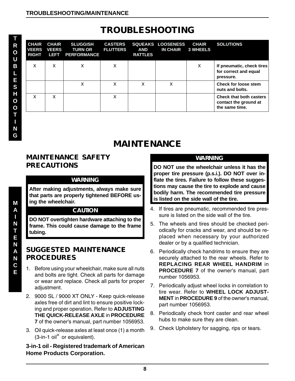| <b>CHAIR</b><br><b>VEERS</b><br><b>RIGHT</b> | <b>CHAIR</b><br><b>VEERS</b><br>Lear | <b>SLUGGISH</b><br><b>TURN OR</b><br><b>PERFORMANCE</b> | <b>CASTERS</b><br><b>FLUTTERS</b> | <b>AND</b><br><b>RATTLES</b> | <b>SQUEAKS LOOSENESS</b><br><b>IN CHAIR</b> | <b>CHAIR</b><br><b>3 WHEELS</b> | <b>SOLUTIONS</b>                                                          |
|----------------------------------------------|--------------------------------------|---------------------------------------------------------|-----------------------------------|------------------------------|---------------------------------------------|---------------------------------|---------------------------------------------------------------------------|
| X                                            | X                                    | х                                                       | x                                 |                              |                                             | X                               | If pneumatic, check tires<br>for correct and equal<br>pressure.           |
|                                              |                                      | x                                                       | X                                 | x                            | X                                           |                                 | <b>Check for loose stem</b><br>nuts and bolts.                            |
| X                                            | x                                    |                                                         | x                                 |                              |                                             |                                 | <b>Check that both casters</b><br>contact the ground at<br>the same time. |

### **MAINTENANCE**

#### **MAINTENANCE SAFETY PRECAUTIONS**

#### **WARNING**

**After making adjustments, always make sure that parts are properly tightened BEFORE using the wheelchair.**

#### **CAUTION**

**DO NOT overtighten hardware attaching to the frame. This could cause damage to the frame tubing.**

#### **SUGGESTED MAINTENANCE PROCEDURES**

- 1. Before using your wheelchair, make sure all nuts and bolts are tight. Check all parts for damage or wear and replace. Check all parts for proper adjustment.
- 2. 9000 SL / 9000 XT ONLY Keep quick-release axles free of dirt and lint to ensure positive locking and proper operation. Refer to **ADJUSTING THE QUICK-RELEASE AXLE** in **PROCEDURE 7** of the owner's manual, part number 1056953.
- 3. Oil quick-release axles at least once (1) a month (3-in-1 oil**®** or equivalent).

#### **3-in-1 oil - Registered trademark of American Home Products Corporation.**

#### **WARNING**

**DO NOT use the wheelchair unless it has the proper tire pressure (p.s.i.). DO NOT over inflate the tires. Failure to follow these suggestions may cause the tire to explode and cause bodily harm. The recommended tire pressure is listed on the side wall of the tire.**

- 4. If tires are pneumatic, recommended tire pressure is listed on the side wall of the tire.
- 5. The wheels and tires should be checked periodically for cracks and wear, and should be replaced when necessary by your authorized dealer or by a qualified technician.
- 6. Periodically check handrims to ensure they are securely attached to the rear wheels. Refer to **REPLACING REAR WHEEL HANDRIM** in **PROCEDURE 7** of the owner's manual, part number 1056953.
- 7. Periodically adjust wheel locks in correlation to tire wear. Refer to **WHEEL LOCK ADJUST-MENT** in **PROCEDURE 9** of the owner's manual, part number 1056953.
- 8. Periodically check front caster and rear wheel hubs to make sure they are clean.
- 9. Check Upholstery for sagging, rips or tears.

**M A I N T E N A N C E**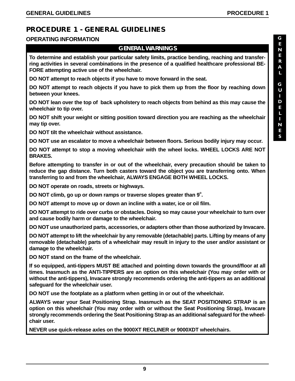### **PROCEDURE 1 - GENERAL GUIDELINES**

#### **OPERATING INFORMATION**

#### **GENERAL WARNINGS**

**To determine and establish your particular safety limits, practice bending, reaching and transferring activities in several combinations in the presence of a qualified healthcare professional BE-FORE attempting active use of the wheelchair..**

**DO NOT attempt to reach objects if you have to move forward in the seat.**

**DO NOT attempt to reach objects if you have to pick them up from the floor by reaching down between your knees.**

**DO NOT lean over the top of back upholstery to reach objects from behind as this may cause the wheelchair to tip over.**

**DO NOT shift your weight or sitting position toward direction you are reaching as the wheelchair may tip over.**

**DO NOT tilt the wheelchair without assistance.**

**DO NOT use an escalator to move a wheelchair between floors. Serious bodily injury may occur.**

**DO NOT attempt to stop a moving wheelchair with the wheel locks. WHEEL LOCKS ARE NOT BRAKES.**

**Before attempting to transfer in or out of the wheelchair, every precaution should be taken to reduce the gap distance. Turn both casters toward the object you are transferring onto. When transferring to and from the wheelchair, ALWAYS ENGAGE BOTH WHEEL LOCKS.**

**DO NOT operate on roads, streets or highways.**

DO NOT climb, go up or down ramps or traverse slopes greater than 9°.

**DO NOT attempt to move up or down an incline with a water, ice or oil film.**

**DO NOT attempt to ride over curbs or obstacles. Doing so may cause your wheelchair to turn over and cause bodily harm or damage to the wheelchair.**

**DO NOT use unauthorized parts, accessories, or adapters other than those authorized by Invacare.**

**DO NOT attempt to lift the wheelchair by any removable (detachable) parts. Lifting by means of any removable (detachable) parts of a wheelchair may result in injury to the user and/or assistant or damage to the wheelchair.**

**DO NOT stand on the frame of the wheelchair.**

**If so equipped, anti-tippers MUST BE attached and pointing down towards the ground/floor at all times. Inasmuch as the ANTI-TIPPERS are an option on this wheelchair (You may order with or without the anti-tippers), Invacare strongly recommends ordering the anti-tippers as an additional safeguard for the wheelchair user.**

**DO NOT use the footplate as a platform when getting in or out of the wheelchair.**

**ALWAYS wear your Seat Positioning Strap. Inasmuch as the SEAT POSITIONING STRAP is an option on this wheelchair (You may order with or without the Seat Positioning Strap), Invacare strongly recommends ordering the Seat Positioning Strap as an additional safeguard for the wheelchair user.**

**NEVER use quick-release axles on the 9000XT RECLINER or 9000XDT wheelchairs.**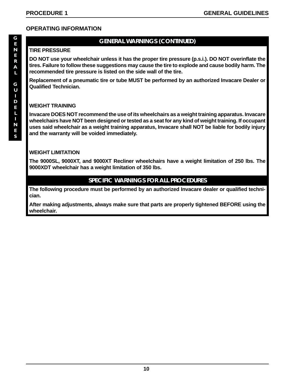#### **OPERATING INFORMATION**

### **GENERAL WARNINGS (CONTINUED)**

#### **TIRE PRESSURE**

**DO NOT use your wheelchair unless it has the proper tire pressure (p.s.i.). DO NOT overinflate the tires. Failure to follow these suggestions may cause the tire to explode and cause bodily harm. The recommended tire pressure is listed on the side wall of the tire.**

**Replacement of a pneumatic tire or tube MUST be performed by an authorized Invacare Dealer or Qualified Technician.**

#### **WEIGHT TRAINING**

**Invacare DOES NOT recommend the use of its wheelchairs as a weight training apparatus. Invacare wheelchairs have NOT been designed or tested as a seat for any kind of weight training. If occupant uses said wheelchair as a weight training apparatus, Invacare shall NOT be liable for bodily injury and the warranty will be voided immediately.**

#### **WEIGHT LIMITATION**

**The 9000SL, 9000XT, and 9000XT Recliner wheelchairs have a weight limitation of 250 lbs. The 9000XDT wheelchair has a weight limitation of 350 lbs.**

#### **SPECIFIC WARNINGS FOR ALL PROCEDURES**

**The following procedure must be performed by an authorized Invacare dealer or qualified technician.**

**After making adjustments, always make sure that parts are properly tightened BEFORE using the wheelchair.**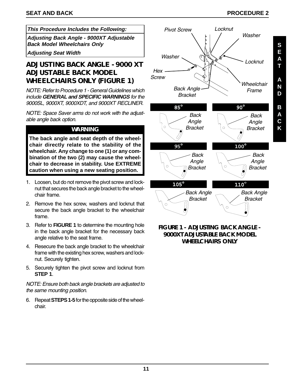**S E A T**

**A N D**

**B A C K**

#### **This Procedure Includes the Following:**

**Adjusting Back Angle - 9000XT Adjustable Back Model Wheelchairs Only**

**Adjusting Seat Width**

#### **ADJUSTING BACK ANGLE - 9000 XT ADJUSTABLE BACK MODEL WHEELCHAIRS ONLY (FIGURE 1)**

NOTE: Refer to Procedure 1 - General Guidelines which include **GENERAL and SPECIFIC WARNINGS** for the 9000SL, 9000XT, 9000XDT, and 9000XT RECLINER.

NOTE: Space Saver arms do not work with the adjustable angle back option.

#### **WARNING**

**The back angle and seat depth of the wheelchair directly relate to the stability of the wheelchair. Any change to one (1) or any combination of the two (2) may cause the wheelchair to decrease in stability. Use EXTREME caution when using a new seating position.**

- 1. Loosen, but do not remove the pivot screw and locknut that secures the back angle bracket to the wheelchair frame.
- 2. Remove the hex screw, washers and locknut that secure the back angle bracket to the wheelchair frame.
- 3. Refer to **FIGURE 1** to determine the mounting hole in the back angle bracket for the necessary back angle relative to the seat frame.
- 4. Resecure the back angle bracket to the wheelchair frame with the existing hex screw, washers and locknut. Securely tighten.
- 5. Securely tighten the pivot screw and locknut from **STEP 1**.

NOTE: Ensure both back angle brackets are adjusted to the same mounting position.

6. Repeat **STEPS 1-5** for the opposite side of the wheelchair.



**FIGURE 1 - ADJUSTING BACK ANGLE - 9000XT ADJUSTABLE BACK MODEL WHEELCHAIRS ONLY**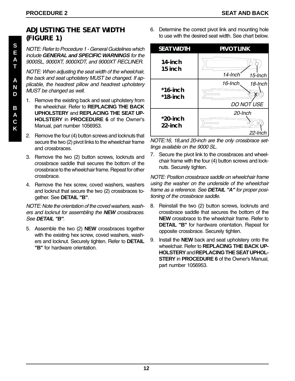#### **ADJUSTING THE SEAT WIDTH (FIGURE 1)**

NOTE: Refer to Procedure 1 - General Guidelines which include **GENERAL and SPECIFIC WARNINGS** for the 9000SL, 9000XT, 9000XDT, and 9000XT RECLINER.

NOTE: When adjusting the seat width of the wheelchair, the back and seat upholstery MUST be changed. If applicable, the headrest pillow and headrest upholstery MUST be changed as well.

- 1. Remove the existing back and seat upholstery from the wheelchair. Refer to **REPLACING THE BACK UPHOLSTERY** and **REPLACING THE SEAT UP-HOLSTERY** in **PROCEDURE 6** of the Owner's Manual, part number 1056953.
- 2. Remove the four (4) button screws and locknuts that secure the two (2) pivot links to the wheelchair frame and crossbraces.
- 3. Remove the two (2) button screws, locknuts and crossbrace saddle that secures the bottom of the crossbrace to the wheelchair frame. Repeat for other crossbrace.
- 4. Remove the hex screw, coved washers, washers and locknut that secure the two (2) crossbraces together. See **DETAIL "B"**.

NOTE: Note the orientation of the coved washers, washers and locknut for assembling the **NEW** crossbraces. See **DETAIL "B"**.

5. Assemble the two (2) **NEW** crossbraces together with the existing hex screw, coved washers, washers and locknut. Securely tighten. Refer to **DETAIL "B"** for hardware orientation.

6. Determine the correct pivot link and mounting hole to use with the desired seat width. See chart below.



NOTE:16, 18,and 20-inch are the only crossbrace settings available on the 9000 SL.

7. Secure the pivot link to the crossbraces and wheelchair frame with the four (4) button screws and locknuts. Securely tighten.

NOTE: Position crossbrace saddle on wheelchair frame using the washer on the underside of the wheelchair frame as a reference. See **DETAIL "A"** for proper positioning of the crossbrace saddle.

- 8. Reinstall the two (2) button screws, locknuts and crossbrace saddle that secures the bottom of the **NEW** crossbrace to the wheelchair frame. Refer to **DETAIL "B"** for hardware orientation. Repeat for opposite crossbrace. Securely tighten.
- 9. Install the **NEW** back and seat upholstery onto the wheelchair. Refer to **REPLACING THE BACK UP-HOLSTERY** and **REPLACING THE SEAT UPHOL-STERY** in **PROCEDURE 6** of the Owner's Manual, part number 1056953.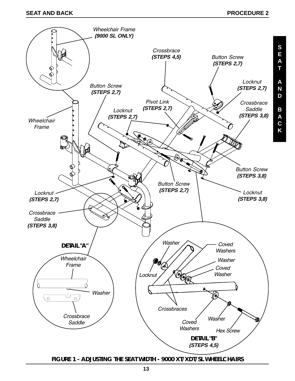**A C**



**FIGURE 1 - ADJUSTING THE SEAT WIDTH - 9000 XT/XDT/SL WHEELCHAIRS**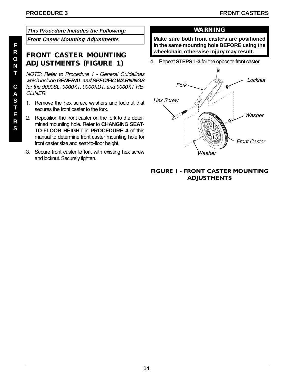**This Procedure Includes the Following:**

**Front Caster Mounting Adjustments**

#### **FRONT CASTER MOUNTING ADJUSTMENTS (FIGURE 1)**

NOTE: Refer to Procedure 1 - General Guidelines which include **GENERAL and SPECIFIC WARNINGS** for the 9000SL, 9000XT, 9000XDT, and 9000XT RE-CLINER.

- 1. Remove the hex screw, washers and locknut that secures the front caster to the fork.
- 2. Reposition the front caster on the fork to the determined mounting hole. Refer to **CHANGING SEAT-TO-FLOOR HEIGHT** in **PROCEDURE 4** of this manual to determine front caster mounting hole for front caster size and seat-to-floor height.
- 3. Secure front caster to fork with existing hex screw and locknut. Securely tighten.

#### **WARNING**

**Make sure both front casters are positioned in the same mounting hole BEFORE using the wheelchair; otherwise injury may result.**

4. Repeat **STEPS 1-3** for the opposite front caster.



#### FIGURE 1 - FRONT CASTER MOUNTING **ADJUSTMENTS**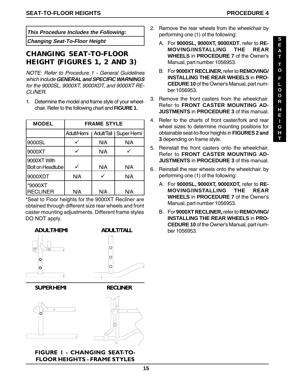**This Procedure Includes the Following:**

#### **CHANGING SEAT-TO-FLOOR HEIGHT (FIGURES 1, 2 AND 3)**

NOTE: Refer to Procedure 1 - General Guidelines which include **GENERAL and SPECIFIC WARNINGS** for the 9000SL, 9000XT, 9000XDT, and 9000XT RE-CLINER.

1. Determine the model and frame style of your wheelchair. Refer to the following chart and **FIGURE 1**.

| <b>MODEL</b>                           | <b>FRAME STYLE</b> |     |                                      |  |  |  |
|----------------------------------------|--------------------|-----|--------------------------------------|--|--|--|
|                                        |                    |     | Adult/Hemi   Adult/Tall   Super Hemi |  |  |  |
| 9000SL                                 |                    | N/A | N/A                                  |  |  |  |
| 9000XT                                 |                    | N/A |                                      |  |  |  |
| 9000XT With<br><b>Bolt on Headtube</b> |                    | N/A | N/A                                  |  |  |  |
| 9000XDT                                | N/A                |     | N/A                                  |  |  |  |
| *9000XT<br><b>RECLINER</b>             | N/A                | N/A | N/A                                  |  |  |  |

\*Seat to Floor heights for the 9000XT Recliner are obtained through different size rear wheels and front caster mounting adjustments. Different frame styles DO NOT apply.



**SUPERHEMI** 





**ADULT/TALL** 

 $\circ$  $\circ$  $\overline{O}$ 

#### FIGURE I - CHANGING SEAT-TO-**FLOOR HEIGHTS - FRAME STYLES**

- 2. Remove the rear wheels from the wheelchair by performing one (1) of the following:
- **Changing Seat-To-Floor Height <sup>S</sup>** A. For **9000SL, 9000XT, 9000XDT**, refer to **RE-MOVING/INSTALLING THE REAR WHEELS** in **PROCEDURE 7** of the Owner's Manual, part number 1056953.
	- B. For **9000XT RECLINER,** refer to **REMOVING/ INSTALLING THE REAR WHEELS** in **PRO-CEDURE 10** of the Owner's Manual, part number 1056953.
	- 3. Remove the front casters from the wheelchair. Refer to **FRONT CASTER MOUNTING AD-JUSTMENTS** in **PROCEDURE 3** of this manual.
	- 4. Refer to the charts of front caster/fork and rear wheel sizes to determine mounting positions for obtainable seat-to-floor heights in **FIGURES 2 and 3** depending on frame style.
	- 5. Reinstall the front casters onto the wheelchair. Refer to **FRONT CASTER MOUNTING AD-JUSTMENTS** in **PROCEDURE 3** of this manual.
	- 6. Reinstall the rear wheels onto the wheelchair. by performing one (1) of the following:
		- A. For **9000SL, 9000XT, 9000XDT,** refer to **RE-MOVING/INSTALLING THE REAR WHEELS** in **PROCEDURE 7** of the Owner's Manual, part number 1056953.
		- B. For **9000XT RECLINER,** refer to **REMOVING/ INSTALLING THE REAR WHEELS** in **PRO-CEDURE 10** of the Owner's Manual, part number 1056953.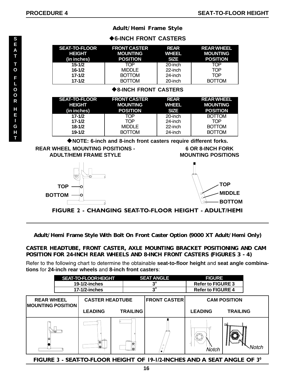|                                                                                                                                                                                                   | ◆6-INCH FRONT CASTERS |                     |              |                   |  |  |  |  |
|---------------------------------------------------------------------------------------------------------------------------------------------------------------------------------------------------|-----------------------|---------------------|--------------|-------------------|--|--|--|--|
|                                                                                                                                                                                                   | <b>SEAT-TO-FLOOR</b>  | <b>FRONT CASTER</b> | <b>REAR</b>  | <b>REAR WHEEL</b> |  |  |  |  |
|                                                                                                                                                                                                   | <b>HEIGHT</b>         | <b>MOUNTING</b>     | <b>WHEEL</b> | <b>MOUNTING</b>   |  |  |  |  |
|                                                                                                                                                                                                   | (in inches)           | <b>POSITION</b>     | <b>SIZE</b>  | <b>POSITION</b>   |  |  |  |  |
|                                                                                                                                                                                                   | $15 - 1/2$            | TOP.                | 20-inch      | TOP               |  |  |  |  |
|                                                                                                                                                                                                   | $16 - 1/2$            | <b>MIDDLE</b>       | 22-inch      | <b>TOP</b>        |  |  |  |  |
|                                                                                                                                                                                                   | $17 - 1/2$            | <b>BOTTOM</b>       | 24-inch      | <b>TOP</b>        |  |  |  |  |
|                                                                                                                                                                                                   | $17 - 1/2$            | <b>BOTTOM</b>       | 20-inch      | <b>BOTTOM</b>     |  |  |  |  |
| <b>◆8-INCH FRONT CASTERS</b>                                                                                                                                                                      |                       |                     |              |                   |  |  |  |  |
|                                                                                                                                                                                                   | <b>SEAT-TO-FLOOR</b>  | <b>FRONT CASTER</b> | <b>REAR</b>  | <b>REAR WHEEL</b> |  |  |  |  |
|                                                                                                                                                                                                   | <b>HEIGHT</b>         | <b>MOUNTING</b>     | <b>WHEEL</b> | <b>MOUNTING</b>   |  |  |  |  |
|                                                                                                                                                                                                   | (in inches)           | <b>POSITION</b>     | <b>SIZE</b>  | <b>POSITION</b>   |  |  |  |  |
|                                                                                                                                                                                                   | $17 - 1/2$            | TOP                 | 20-inch      | <b>BOTTOM</b>     |  |  |  |  |
|                                                                                                                                                                                                   | $17 - 1/2$            | TOP                 | 24-inch      | <b>TOP</b>        |  |  |  |  |
|                                                                                                                                                                                                   | $18 - 1/2$            | <b>MIDDLE</b>       | 22-inch      | <b>BOTTOM</b>     |  |  |  |  |
|                                                                                                                                                                                                   | $19 - 1/2$            | <b>BOTTOM</b>       | 24-inch      | <b>BOTTOM</b>     |  |  |  |  |
| NOTE: 6-inch and 8-inch front casters require different forks.<br><b>REAR WHEEL MOUNTING POSITIONS -</b><br><b>6 OR 8-INCH FORK</b><br><b>ADULT/HEMI FRAME STYLE</b><br><b>MOUNTING POSITIONS</b> |                       |                     |              |                   |  |  |  |  |
|                                                                                                                                                                                                   |                       |                     |              |                   |  |  |  |  |



**TOP BOTTOM**



FIGURE 2 - CHANGING SEAT-TO-FLOOR HEIGHT - ADULT/HEMI

#### **Adult/Hemi Frame Style With Bolt On Front Caster Option (9000 XT Adult/Hemi Only)**

#### **CASTER HEADTUBE, FRONT CASTER, AXLE MOUNTING BRACKET POSITIONING AND CAM POSITION FOR 24-INCH REAR WHEELS AND 8-INCH FRONT CASTERS (FIGURES 3 - 4)**

Refer to the following chart to determine the obtainable **seat-to-floor height** and **seat angle combinations** for **24-inch rear wheels** and **8-inch front casters**:



FIGURE 3 - SEAT-TO-FLOOR HEIGHT OF 19-1/2-INCHES AND A SEAT ANGLE OF  $3^{\circ}$ 

**S E A T**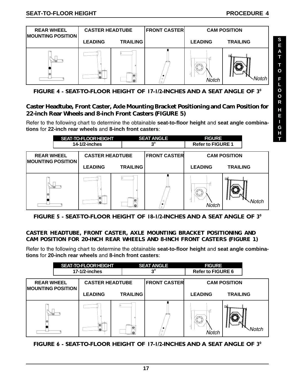

FIGURE 4 - SEAT-TO-FLOOR HEIGHT OF 17-1/2-INCHES AND A SEAT ANGLE OF  $3^{\circ}$ 

#### **Caster Headtube, Front Caster, Axle Mounting Bracket Positioning and Cam Position for 22-inch Rear Wheels and 8-inch Front Casters (FIGURE 5)**

Refer to the following chart to determine the obtainable **seat-to-floor height** and **seat angle combinations** for **22-inch rear wheels** and **8-inch front casters**:

|                                               | SEAT-TO-FLOOR HEIGHT<br><b>SEAT ANGLE</b><br>$3^{\circ}$<br>14-1/2-inches |                     | <b>FIGURE</b><br><b>Refer to FIGURE 1</b> |                     |                 |
|-----------------------------------------------|---------------------------------------------------------------------------|---------------------|-------------------------------------------|---------------------|-----------------|
| <b>REAR WHEEL</b><br><b>MOUNTING POSITION</b> | <b>CASTER HEADTUBE</b>                                                    | <b>FRONT CASTER</b> |                                           | <b>CAM POSITION</b> |                 |
|                                               | <b>LEADING</b>                                                            | <b>TRAILING</b>     |                                           | <b>LEADING</b>      | <b>TRAILING</b> |
|                                               | lo I                                                                      | lle,                | $\circ$<br>$\circ$                        | <b>Notch</b>        |                 |

FIGURE 5 - SEAT-TO-FLOOR HEIGHT OF 18-1/2-INCHES AND A SEAT ANGLE OF  $3^{\circ}$ 

#### **CASTER HEADTUBE, FRONT CASTER, AXLE MOUNTING BRACKET POSITIONING AND CAM POSITION FOR 20-INCH REAR WHEELS AND 8-INCH FRONT CASTERS (FIGURE 1)**

Refer to the following chart to determine the obtainable **seat-to-floor height** and **seat angle combinations** for **20-inch rear wheels** and **8-inch front casters**:

|                                               |  | <b>SEAT-TO-FLOOR HEIGHT</b><br>17-1/2-inches |                 | <b>SEAT ANGLE</b><br>າ° | <b>FIGURE</b><br><b>Refer to FIGURE 6</b> |                     |
|-----------------------------------------------|--|----------------------------------------------|-----------------|-------------------------|-------------------------------------------|---------------------|
| <b>REAR WHEEL</b><br><b>MOUNTING POSITION</b> |  | <b>CASTER HEADTUBE</b>                       |                 | <b>FRONT CASTER</b>     |                                           | <b>CAM POSITION</b> |
|                                               |  | <b>LEADING</b>                               | <b>TRAILING</b> |                         | <b>LEADING</b>                            | <b>TRAILING</b>     |
|                                               |  | юI                                           | lO,             | $\circ$<br>$\circ$      | Notch                                     |                     |

FIGURE 6 - SEAT-TO-FLOOR HEIGHT OF 17-1/2-INCHES AND A SEAT ANGLE OF  $3^{\circ}$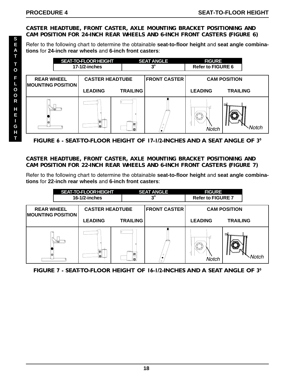#### **CASTER HEADTUBE, FRONT CASTER, AXLE MOUNTING BRACKET POSITIONING AND CAM POSITION FOR 24-INCH REAR WHEELS AND 6-INCH FRONT CASTERS (FIGURE 6)**

Refer to the following chart to determine the obtainable **seat-to-floor height** and **seat angle combinations** for **24-inch rear wheels** and **6-inch front casters**:



FIGURE 6 - SEAT-TO-FLOOR HEIGHT OF 17-1/2-INCHES AND A SEAT ANGLE OF  $3^{\circ}$ 

#### **CASTER HEADTUBE, FRONT CASTER, AXLE MOUNTING BRACKET POSITIONING AND CAM POSITION FOR 22-INCH REAR WHEELS AND 6-INCH FRONT CASTERS (FIGURE 7)**

Refer to the following chart to determine the obtainable **seat-to-floor height** and **seat angle combinations** for **22-inch rear wheels** and **6-inch front casters**:

|                                                                                                |  | SEAT-TO-FLOOR HEIGHT<br>16-1/2-inches |                     | <b>SEAT ANGLE</b><br>$3^{\circ}$ |                    | <b>FIGURE</b><br><b>Refer to FIGURE 7</b> |                 |
|------------------------------------------------------------------------------------------------|--|---------------------------------------|---------------------|----------------------------------|--------------------|-------------------------------------------|-----------------|
| <b>FRONT CASTER</b><br><b>CASTER HEADTUBE</b><br><b>REAR WHEEL</b><br><b>MOUNTING POSITION</b> |  |                                       | <b>CAM POSITION</b> |                                  |                    |                                           |                 |
|                                                                                                |  | <b>LEADING</b>                        |                     | <b>TRAILING</b>                  |                    | <b>LEADING</b>                            | <b>TRAILING</b> |
|                                                                                                |  |                                       |                     | ю                                | $\circ$<br>$\circ$ | Notch                                     |                 |

FIGURE 7 - SEAT-TO-FLOOR HEIGHT OF 16-1/2-INCHES AND A SEAT ANGLE OF  $3^{\circ}$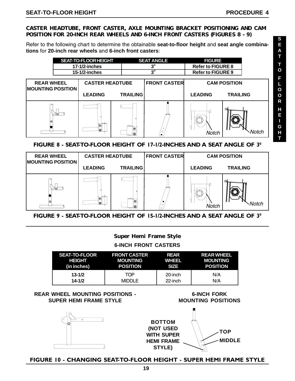#### **CASTER HEADTUBE, FRONT CASTER, AXLE MOUNTING BRACKET POSITIONING AND CAM POSITION FOR 20-INCH REAR WHEELS AND 6-INCH FRONT CASTERS (FIGURES 8 - 9)**

Refer to the following chart to determine the obtainable **seat-to-floor height** and **seat angle combinations** for **20-inch rear wheels** and **6-inch front casters**:



#### FIGURE 8 - SEAT-TO-FLOOR HEIGHT OF 17-1/2-INCHES AND A SEAT ANGLE OF  $3^{\circ}$



#### FIGURE 9 - SEAT-TO-FLOOR HEIGHT OF 15-1/2-INCHES AND A SEAT ANGLE OF  $3^{\circ}$

#### **Super Hemi Frame Style**

**6-INCH FRONT CASTERS**

| <b>SEAT-TO-FLOOR</b> | <b>FRONT CASTER</b> | REAR         | <b>REAR WHEEL</b> |
|----------------------|---------------------|--------------|-------------------|
| HEIGHT               | MOUNTING            | <b>WHEEL</b> | <b>MOUNTING</b>   |
| (in inches)          | <b>POSITION</b>     | <b>SIZE</b>  | <b>POSITION</b>   |
| $13 - 1/2$           | TOP                 | 20-inch      | N/A               |
| $14 - 1/2$           | <b>MIDDLE</b>       | 22-inch      | N/A               |

#### **REAR WHEEL MOUNTING POSITIONS - SUPER HEMI FRAME STYLE**





**6-INCH FORK**

FIGURE 10 - CHANGING SEAT-TO-FLOOR HEIGHT - SUPER HEMI FRAME STYLE

**S**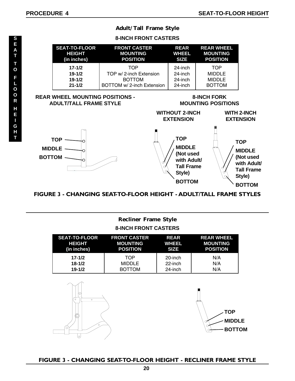#### **Adult/Tall Frame Style**

#### **8-INCH FRONT CASTERS SEAT-TO-FLOOR FRONT CASTER REAR REAR WHEEL HEIGHT MOUNTING WHEEL MOUNTING (in inches) POSITION SIZE POSITION 17-1/2** TOP 24-inch TOP **19-1/2** TOP w/ 2-inch Extension 24-inch MIDDLE<br>**19-1/2** BOTTOM 24-inch MIDDLE **BOTTOM 21-1/2** BOTTOM w/ 2-inch Extension 24-inch BOTTOM

#### **REAR WHEEL MOUNTING POSITIONS - ADULT/TALL FRAME STYLE**

#### **8-INCH FORK MOUNTING POSITIONS**



FIGURE 3 - CHANGING SEAT-TO-FLOOR HEIGHT - ADULT/TALL FRAME STYLES

#### **Recliner Frame Style 8-INCH FRONT CASTERS**

| <b>SEAT-TO-FLOOR</b> | <b>FRONT CASTER</b> | <b>REAR</b> | <b>REAR WHEEL</b> |
|----------------------|---------------------|-------------|-------------------|
| <b>HEIGHT</b>        | <b>MOUNTING</b>     | WHEEL       | <b>MOUNTING</b>   |
| (in inches)          | <b>POSITION</b>     | <b>SIZE</b> | <b>POSITION</b>   |
| $17 - 1/2$           | TOP                 | 20-inch     | N/A               |
| $18 - 1/2$           | <b>MIDDLE</b>       | 22-inch     | N/A               |
| $19 - 1/2$           | <b>BOTTOM</b>       | 24-inch     | N/A               |





#### FIGURE 3 - CHANGING SEAT-TO-FLOOR HEIGHT - RECLINER FRAME STYLE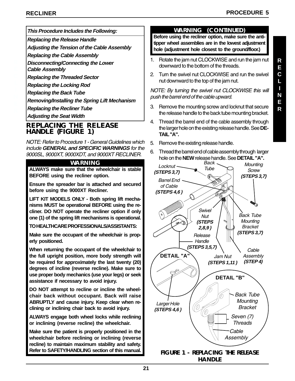**This Procedure Includes the Following:**

**Replacing the Release Handle**

**Adjusting the Tension of the Cable Assembly**

**Replacing the Cable Assembly**

**Disconnecting/Connecting the Lower**

**Cable Assembly**

**Replacing the Threaded Sector**

**Replacing the Locking Rod**

**Replacing the Back Tube**

**Removing/Installing the Spring Lift Mechanism**

**Replacing the Recliner Tube**

**Adjusting the Seat Width**

#### **REPLACING THE RELEASE HANDLE (FIGURE 1)**

NOTE: Refer to Procedure 1 - General Guidelines which include **GENERAL and SPECIFIC WARNINGS** for the 9000SL, 9000XT, 9000XDT, and 9000XT RECLINER.

#### **WARNING**

**ALWAYS make sure that the wheelchair is stable BEFORE using the recliner option.**

**Ensure the spreader bar is attached and secured before using the 9000XT Recliner.**

**LIFT KIT MODELS ONLY - Both spring lift mechanisms MUST be operational BEFORE using the recliner. DO NOT operate the recliner option if only one (1) of the spring lift mechanisms is operational.**

**TO HEALTHCARE PROFESSIONALS/ASSISTANTS:**

**Make sure the occupant of the wheelchair is properly positioned.**

**When returning the occupant of the wheelchair to the full upright position, more body strength will be required for approximately the last twenty (20) degrees of incline (reverse recline). Make sure to use proper body mechanics (use your legs) or seek assistance if necessary to avoid injury.**

**DO NOT attempt to recline or incline the wheelchair back without occupant. Back will raise ABRUPTLY and cause injury. Keep clear when reclining or inclining chair back to avoid injury.**

**ALWAYS engage both wheel locks while reclining or inclining (reverse recline) the wheelchair.**

**Make sure the patient is properly positioned in the wheelchair before reclining or inclining (reverse recline) to maintain maximum stability and safety. Refer to SAFETY/HANDLING section of this manual.**

#### **WARNING (CONTINUED)**

**Before using the recliner option, make sure the antitipper wheel assemblies are in the lowest adjustment hole (adjustment hole closest to the ground/floor.)**

- 1. Rotate the jam nut CLOCKWISE and run the jam nut downward to the bottom of the threads.
- 2. Turn the swivel nut CLOCKWISE and run the swivel nut downward to the top of the jam nut.

NOTE: By turning the swivel nut CLOCKWISE this will push the barrel end of the cable upward.

- 3. Remove the mounting screw and locknut that secure the release handle to the back tube mounting bracket.
- 4. Thread the barrel end of the cable assembly through the larger hole on the existing release handle. See **DE-TAIL "A".**
- 5. Remove the existing release handle.
- 6. Thread the barrel end of cable assembly through larger hole on the **NEW** release handle. See **DETAIL "A".**

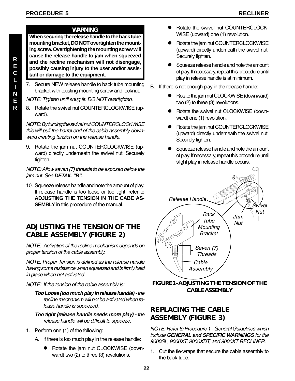#### **R E C L I N E R**

#### **WARNING**

**When securing the release handle to the back tube mounting bracket, DO NOT overtighten the mounting screw. Overtightening the mounting screw will cause the release handle to jam when squeezed and the recline mechanism will not disengage, possibly causing injury to the user and/or assistant or damage to the equipment.**

7. Secure NEW release handle to back tube mounting bracket with existing mounting screw and locknut.

NOTE: Tighten until snug fit. DO NOT overtighten.

8. Rotate the swivel nut COUNTERCLOCKWISE (upward).

NOTE: By turning the swivel nut COUNTERCLOCKWISE this will pull the barrel end of the cable assembly downward creating tension on the release handle.

9. Rotate the jam nut COUNTERCLOCKWISE (upward) directly underneath the swivel nut. Securely tighten.

NOTE: Allow seven (7) threads to be exposed below the jam nut. See **DETAIL "B".**

10. Squeeze release handle and note the amount of play. If release handle is too loose or too tight, refer to **ADJUSTING THE TENSION IN THE CABE AS-SEMBLY** in this procedure of the manual.

#### **ADJUSTING THE TENSION OF THE CABLE ASSEMBLY (FIGURE 2)**

NOTE: Activation of the recline mechanism depends on proper tension of the cable assembly.

NOTE: Proper Tension is defined as the release handle having some resistance when squeezed and is firmly held in place when not activated.

NOTE: If the tension of the cable assembly is:

- **Too Loose (too much play in release handle)** the recline mechanism will not be activated when release handle is squeezed.
- **Too tight (release handle needs more play)**  the release handle will be difficult to squeeze.
- 1. Perform one (1) of the following:
	- A. If there is too much play in the release handle:
		- Rotate the jam nut CLOCKWISE (downward) two (2) to three (3) revolutions.
- Rotate the swivel nut COUNTERCLOCK-WISE (upward) one (1) revolution.
- Rotate the jam nut COUNTERCLOCKWISE (upward) directly underneath the swivel nut. Securely tighten.
- Squeeze release handle and note the amount of play. If necessary, repeat this procedure until play in release handle is at minimum.
- B. If there is not enough play in the release handle:
	- Rotate the jam nut CLOCKWISE (downward) two (2) to three (3) revolutions.
	- **•** Rotate the swivel nut CLOCKWISE (downward) one (1) revolution.
	- Rotate the jam nut COUNTERCLOCKWISE (upward) directly underneath the swivel nut. Securely tighten.
	- Squeeze release handle and note the amount of play. If necessary, repeat this procedure until slight play in release handle occurs.



FIGURE 2 - ADJUSTING THE TENSION OF THE **CABLEASSEMBLY** 

#### **REPLACING THE CABLE ASSEMBLY (FIGURE 3)**

NOTE: Refer to Procedure 1 - General Guidelines which include **GENERAL and SPECIFIC WARNINGS** for the 9000SL, 9000XT, 9000XDT, and 9000XT RECLINER.

1. Cut the tie-wraps that secure the cable assembly to the back tube.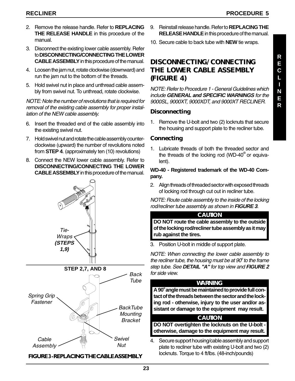- 2. Remove the release handle. Refer to **REPLACING THE RELEASE HANDLE** in this procedure of the manual.
- 3. Disconnect the existing lower cable assembly. Refer to **DISCONNECTING/CONNECTING THE LOWER CABLE ASSEMBLY** in this procedure of the manual.
- 4. Loosen the jam nut, rotate clockwise (downward) and run the jam nut to the bottom of the threads.
- 5. Hold swivel nut in place and unthread cable assembly from swivel nut. To unthread, rotate clockwise.

NOTE: Note the number of revolutions that is required for removal of the existing cable assembly for proper installation of the NEW cable assembly.

- 6. Insert the threaded end of the cable assembly into the existing swivel nut.
- 7. Hold swivel nut and rotate the cable assembly counterclockwise (upward) the number of revolutions noted from **STEP 4**. (approximately ten (10) revolutions)
- 8. Connect the NEW lower cable assembly. Refer to **DISCONNECTING/CONNECTING THE LOWER CABLE ASSEMBLY** in this procedure of the manual.



#### FIGURE 3-REPLACING THE CABLE ASSEMBLY

- 9. Reinstall release handle. Refer to **REPLACING THE RELEASE HANDLE** in this procedure of the manual.
- 10. Secure cable to back tube with **NEW** tie wraps.

#### **DISCONNECTING/CONNECTING THE LOWER CABLE ASSEMBLY (FIGURE 4)**

NOTE: Refer to Procedure 1 - General Guidelines which include **GENERAL and SPECIFIC WARNINGS** for the 9000SL, 9000XT, 9000XDT, and 9000XT RECLINER.

#### **Disconnecting**

1. Remove the U-bolt and two (2) locknuts that secure the housing and support plate to the recliner tube.

#### **Connecting**

1. Lubricate threads of both the threaded sector and the threads of the locking rod (WD-40 $^{\circ}$  or equivalent).

**WD-40 - Registered trademark of the WD-40 Company.**

2. Align threads of threaded sector with exposed threads of locking rod through cut out in recliner tube.

NOTE: Route cable assembly to the inside of the locking rod/recliner tube assembly as shown in **FIGURE 3**.

#### **CAUTION**

**DO NOT route the cable assembly to the outside of the locking rod/recliner tube assembly as it may rub against the tires.**

3. Position U-bolt in middle of support plate.

NOTE: When connecting the lower cable assembly to the recliner tube, the housing must be at  $90^\circ$  to the frame step tube. See **DETAIL "A"** for top view and **FIGURE 2** for side view.

#### **WARNING**

A 90<sup>°</sup> angle must be maintained to provide full con**tact of the threads between the sector and the locking rod - otherwise, injury to the user and/or assistant or damage to the equipment may result.**

#### **CAUTION**

**DO NOT overtighten the locknuts on the U-bolt otherwise, damage to the equipment may result.**

4. Secure support housing/cable assembly and support plate to recliner tube with existing U-bolt and two (2) locknuts. Torque to 4 ft/lbs. (48-inch/pounds)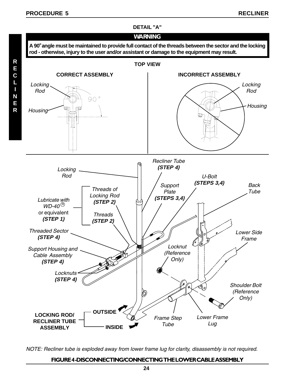

NOTE: Recliner tube is exploded away from lower frame lug for clarity, disassembly is not required.

#### FIGURE 4-DISCONNECTING/CONNECTING THE LOWER CABLE ASSEMBLY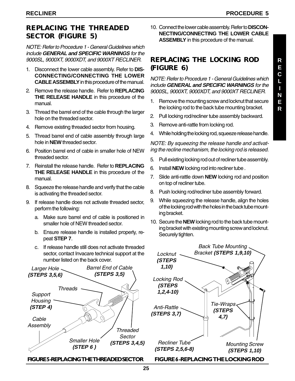#### **REPLACING THE THREADED SECTOR (FIGURE 5)**

NOTE: Refer to Procedure 1 - General Guidelines which include **GENERAL and SPECIFIC WARNINGS** for the 9000SL, 9000XT, 9000XDT, and 9000XT RECLINER.

- 1. Disconnect the lower cable assembly. Refer to **DIS-CONNECTING/CONNECTING THE LOWER CABLE ASSEMBLY** in this procedure of the manual.
- 2. Remove the release handle. Refer to **REPLACING THE RELEASE HANDLE** in this procedure of the manual.
- 3. Thread the barrel end of the cable through the larger hole on the threaded sector.
- 4. Remove existing threaded sector from housing.
- 5. Thread barrel end of cable assembly through large hole in **NEW** threaded sector.
- 6. Position barrel end of cable in smaller hole of NEW threaded sector.
- 7. Reinstall the release handle. Refer to **REPLACING THE RELEASE HANDLE** in this procedure of the manual.
- 8. Squeeze the release handle and verify that the cable is activating the threaded sector.
- 9. If release handle does not activate threaded sector, perform the following:
	- a. Make sure barrel end of cable is positioned in smaller hole of NEW threaded sector.
	- b. Ensure release handle is installed properly, repeat **STEP 7**.
	- c. If release handle still does not activate threaded sector, contact Invacare technical support at the number listed on the back cover.



FIGURE 5-REPLACING THE THREADED SECTOR

10. Connect the lower cable assembly. Refer to **DISCON-NECTING/CONNECTING THE LOWER CABLE ASSEMBLY** in this procedure of the manual.

#### **REPLACING THE LOCKING ROD (FIGURE 6)**

NOTE: Refer to Procedure 1 - General Guidelines which include **GENERAL and SPECIFIC WARNINGS** for the 9000SL, 9000XT, 9000XDT, and 9000XT RECLINER.

- 1. Remove the mounting screw and locknut that secure the locking rod to the back tube mounting bracket.
- 2. Pull locking rod/recliner tube assembly backward.
- 3. Remove anti-rattle from locking rod.
- 4. While holding the locking rod, squeeze release handle.

NOTE: By squeezing the release handle and activating the recline mechanism, the locking rod is released.

- 5. Pull existing locking rod out of recliner tube assembly.
- 6. Install **NEW** locking rod into recliner tube .
- 7. Slide anti-rattle down **NEW** locking rod and position on top of recliner tube.
- 8. Push locking rod/recliner tube assembly forward.
- 9. While squeezing the release handle, align the holes of the locking rod with the holes in the back tube mounting bracket.
- 10. Secure the **NEW** locking rod to the back tube mounting bracket with existing mounting screw and locknut. Securely tighten.

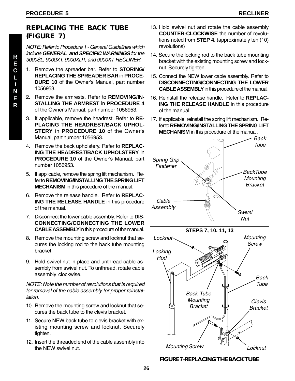#### **REPLACING THE BACK TUBE (FIGURE 7)**

NOTE: Refer to Procedure 1 - General Guidelines which include **GENERAL and SPECIFIC WARNINGS** for the 9000SL, 9000XT, 9000XDT, and 9000XT RECLINER.

- 1. Remove the spreader bar. Refer to **STORING/ REPLACING THE SPREADER BAR** in **PROCE-DURE 10** of the Owner's Manual, part number 1056953.
- 2. Remove the armrests. Refer to **REMOVING/IN-STALLING THE ARMREST** in **PROCEDURE 4** of the Owner's Manual, part number 1056953.
- 3. If applicable, remove the headrest. Refer to **RE-PLACING THE HEADREST/BACK UPHOL-STERY** in **PROCEDURE 10** of the Owner's Manual, part number 1056953.
- 4. Remove the back upholstery. Refer to **REPLAC-ING THE HEADREST/BACK UPHOLSTERY** in **PROCEDURE 10** of the Owner's Manual, part number 1056953.
- 5. If applicable, remove the spring lift mechanism. Refer to **REMOVING/INSTALLING THE SPRING LIFT MECHANISM** in this procedure of the manual.
- 6. Remove the release handle. Refer to **REPLAC-ING THE RELEASE HANDLE** in this procedure of the manual.
- 7. Disconnect the lower cable assembly. Refer to **DIS-CONNECTING/CONNECTING THE LOWER CABLE ASSEMBLY** in this procedure of the manual.
- 8. Remove the mounting screw and locknut that secures the locking rod to the back tube mounting bracket.
- 9. Hold swivel nut in place and unthread cable assembly from swivel nut. To unthread, rotate cable assembly clockwise.

NOTE: Note the number of revolutions that is required for removal of the cable assembly for proper reinstallation.

- 10. Remove the mounting screw and locknut that secures the back tube to the clevis bracket.
- 11. Secure NEW back tube to clevis bracket with existing mounting screw and locknut. Securely tighten.
- 12. Insert the threaded end of the cable assembly into the NEW swivel nut.
- 13. Hold swivel nut and rotate the cable assembly **COUNTER-CLOCKWISE** the number of revolutions noted from **STEP 4**. (approximately ten (10) revolutions)
- 14. Secure the locking rod to the back tube mounting bracket with the existing mounting screw and locknut. Securely tighten.
- 15. Connect the NEW lower cable assembly. Refer to **DISCONNECTING/CONNECTING THE LOWER CABLE ASSEMBLY** in this procedure of the manual.
- 16. Reinstall the release handle. Refer to **REPLAC-ING THE RELEASE HANDLE** in this procedure of the manual.
- 17. If applicable, reinstall the spring lift mechanism. Refer to **REMOVING/INSTALLING THE SPRING LIFT MECHANISM** in this procedure of the manual.



#### FIGURE 7 - REPLACING THE BACK TUBE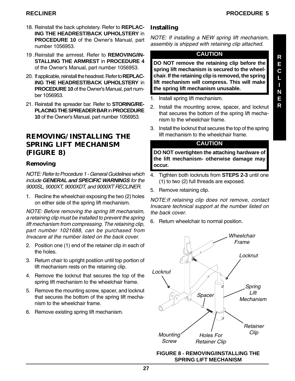- 18. Reinstall the back upholstery. Refer to **REPLAC-ING THE HEADREST/BACK UPHOLSTERY** in **PROCEDURE 10** of the Owner's Manual, part number 1056953.
- 19 .Reinstall the armrest. Refer to **REMOVING/IN-STALLING THE ARMREST** in **PROCEDURE 4** of the Owner's Manual, part number 1056953.
- 20. If applicable, reinstall the headrest. Refer to **REPLAC-ING THE HEADREST/BACK UPHOLSTERY** in **PROCEDURE 10** of the Owner's Manual, part number 1056953.
- 21. Reinstall the spreader bar. Refer to **STORING/RE-PLACING THE SPREADER BAR** in **PROCEDURE 10** of the Owner's Manual, part number 1056953.

#### **REMOVING/INSTALLING THE SPRING LIFT MECHANISM (FIGURE 8)**

#### **Removing**

NOTE: Refer to Procedure 1 - General Guidelines which include **GENERAL and SPECIFIC WARNINGS** for the 9000SL, 9000XT, 9000XDT, and 9000XT RECLINER.

1. Recline the wheelchair exposing the two (2) holes on either side of the spring lift mechanism.

NOTE: Before removing the spring lift mechansim, a retaining clip must be installed to prevent the spring lift mechanism from compressing. The retaining clip, part number 1021688, can be purchased from Invacare at the number listed on the back cover.

- 2. Position one (1) end of the retainer clip in each of the holes.
- 3. Return chair to upright postiion until top portion of lift mechanism rests on the retaining clip.
- 4. Remove the locknut that secures the top of the spring lift mechanism to the wheelchair frame.
- 5. Remove the mounting screw, spacer, and locknut that secures the bottom of the spring lift mechanism to the wheelchair frame.
- 6. Remove existing spring lift mechanism.

#### **Installing**

NOTE: If installing a NEW spring lift mechanism, assembly is shipped with retaining clip attached.

#### **CAUTION**

**DO NOT remove the retaining clip before the spring lift mechanism is secured to the wheelchair. If the retaining clip is removed, the spring lift mechanism will compress. This will make the spring lift mechanism unusable.**

- 1. Install spring lift mechanism.
- 2. Install the mounting screw, spacer, and locknut that secures the bottom of the spring lift mechanism to the wheelchair frame.
- 3. Install the locknut that secures the top of the spring lift mechanism to the wheelchair frame.

#### **CAUTION**

**DO NOT overtighten the attaching hardware of the lift mechanism- otherwise damage may occur.**

- 4. Tigthten both locknuts from **STEPS 2-3** until one (1) to two (2) full threads are exposed.
- 5. Remove retaining clip.

NOTE:If retaining clip does not remove, contact Invacare technical support at the number listed on the back cover.

6. Return wheelchair to normal position.



#### **FIGURE 8 - REMOVING/INSTALLING THE SPRING LIFT MECHANISM**

**R**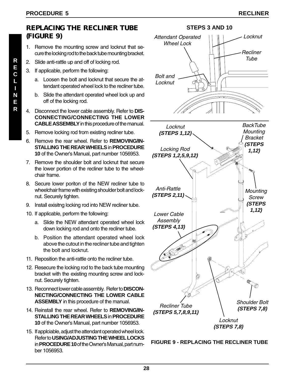#### **REPLACING THE RECLINER TUBE (FIGURE 9)**

- 1. Remove the mounting screw and locknut that secure the locking rod to the back tube mounting bracket.
- 2. Slide anti-rattle up and off of locking rod.
- 3. If applicable, perform the following:
	- a. Loosen the bolt and locknut that secure the attendant operated wheel lock to the recliner tube.
	- b. Slide the attendant operated wheel lock up and off of the locking rod.
- 4. Disconnect the lower cable assembly. Refer to **DIS-CONNECTING/CONNECTING THE LOWER CABLE ASSEMBLY** in this procedure of the manual.
- 5. Remove locking rod from existing recliner tube.
- 6. Remove the rear wheel. Refer to **REMOVING/IN-STALLING THE REAR WHEELS** in **PROCEDURE 10** of the Owner's Manual, part number 1056953.
- 7. Remove the shoulder bolt and locknut that secure the lower portion of the recliner tube to the wheelchair frame.
- 8. Secure lower poriton of the NEW recliner tube to wheelchair frame with existing shoulder bolt and locknut. Securely tighten.
- 9. Install exisitng locking rod into NEW recliner tube.
- 10. If applicable, perform the following:
	- a. Slide the NEW attendant operated wheel lock down locking rod and onto the recliner tube.
	- b. Position the attendant operated wheel lock above the cutout in the recliner tube and tighten the bolt and locknut.
- 11. Reposition the anti-rattle onto the recliner tube.
- 12. Resecure the locking rod to the back tube mounting bracket with the existing mounting screw and locknut. Securely tighten.
- 13. Reconnect lower cable assembly. Refer to **DISCON-NECTING/CONNECTING THE LOWER CABLE ASSEMBLY** in this procedure of the manual.
- 14. Reinstall the rear wheel. Refer to **REMOVING/IN-STALLING THE REAR WHEELS** in **PROCEDURE 10** of the Owner's Manual, part number 1056953.
- 15. If applciable, adjust the attendant operated wheel lock. Refer to **USING/ADJUSTING THE WHEEL LOCKS** in **PROCEDURE 10** of the Owner's Manual, part number 1056953.



**FIGURE 9 - REPLACING THE RECLINER TUBE**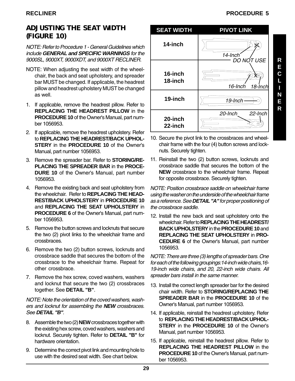#### **ADJUSTING THE SEAT WIDTH (FIGURE 10)**

NOTE: Refer to Procedure 1 - General Guidelines which include **GENERAL and SPECIFIC WARNINGS** for the 9000SL, 9000XT, 9000XDT, and 9000XT RECLINER.

- NOTE: When adjusting the seat width of the wheelchair, the back and seat upholstery, and spreader bar MUST be changed. If applicable, the headrest pillow and headrest upholstery MUST be changed as well.
- 1. If applicable, remove the headrest pillow. Refer to **REPLACING THE HEADREST PILLOW** in the **PROCEDURE 10** of the Owner's Manual, part number 1056953.
- 2. If applicable, remove the headrest upholstery. Refer to **REPLACING THE HEADREST/BACK UPHOL-STERY** in the **PROCEDURE 10** of the Owner's Manual, part number 1056953.
- 3. Remove the spreader bar. Refer to **STORING/RE-PLACING THE SPREADER BAR** in the **PROCE-DURE 10** of the Owner's Manual, part number 1056953.
- 4. Remove the existing back and seat upholstery from the wheelchair. Refer to **REPLACING THE HEAD-REST/BACK UPHOLSTERY** in **PROCEDURE 10** and **REPLACING THE SEAT UPHOLSTERY** in **PROCEDURE 6** of the Owner's Manual, part number 1056953.
- 5. Remove the button screws and locknuts that secure the two (2) pivot links to the wheelchair frame and crossbraces.
- 6. Remove the two (2) button screws, locknuts and crossbrace saddle that secures the bottom of the crossbrace to the wheelchair frame. Repeat for other crossbrace.
- 7. Remove the hex screw, coved washers, washers and locknut that secure the two (2) crossbraces together. See **DETAIL "B"**.

NOTE: Note the orientation of the coved washers, washers and locknut for assembling the **NEW** crossbraces. See **DETAIL "B"**.

- 8. Assemble the two (2) **NEW** crossbraces together with the existing hex screw, coved washers, washers and locknut. Securely tighten. Refer to **DETAIL "B"** for hardware orientation.
- 9. Determine the correct pivot link and mounting hole to use with the desired seat width. See chart below.





- 10. Secure the pivot link to the crossbraces and wheelchair frame with the four (4) button screws and locknuts. Securely tighten.
- 11. Reinstall the two (2) button screws, locknuts and crossbrace saddle that secures the bottom of the **NEW** crossbrace to the wheelchair frame. Repeat for opposite crossbrace. Securely tighten.

NOTE: Position crossbrace saddle on wheelchair frame using the washer on the underside of the wheelchair frame as a reference. See **DETAIL "A"** for proper positioning of the crossbrace saddle.

12. Install the new back and seat upholstery onto the wheelchair. Refer to **REPLACING THE HEADREST/ BACK UPHOLSTERY** in the **PROCEDURE 10** and **REPLACING THE SEAT UPHOLSTERY** in **PRO-CEDURE 6** of the Owner's Manual, part number 1056953.

NOTE: There are three (3) lengths of spreader bars. One for each of the following groupings:14-inch wide chairs,16- 19-inch wide chairs, and 20, 22-inch wide chairs. All spreader bars install in the same manner.

- 13. Install the correct length spreader bar for the desired chair width. Refer to **STORING/REPLACING THE SPREADER BAR** in the **PROCEDURE 10** of the Owner's Manual, part number 1056953.
- 14. If applicable, reinstall the headrest upholstery. Refer to **REPLACING THE HEADREST/BACK UPHOL-STERY** in the **PROCEDURE 10** of the Owner's Manual, part number 1056953.
- 15. If applicable, reinstall the headrest pillow. Refer to **REPLACING THE HEADREST PILLOW** in the **PROCEDURE 10** of the Owner's Manual, part number 1056953.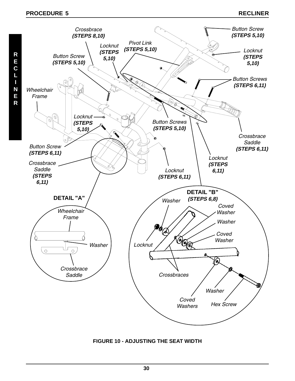

**FIGURE 10 - ADJUSTING THE SEAT WIDTH**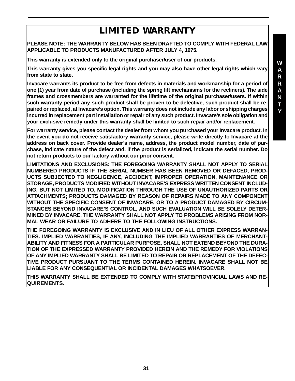### **LIMITED WARRANTY**

**PLEASE NOTE: THE WARRANTY BELOW HAS BEEN DRAFTED TO COMPLY WITH FEDERAL LAW APPLICABLE TO PRODUCTS MANUFACTURED AFTER JULY 4, 1975.**

**This warranty is extended only to the original purchaser/user of our products.**

**This warranty gives you specific legal rights and you may also have other legal rights which vary from state to state.**

**Invacare warrants its product to be free from defects in materials and workmanship for a period of one (1) year from date of purchase (including the spring lift mechanisms for the recliners). The side frames and crossmembers are warranted for the lifetime of the original purchaser/users. If within such warranty period any such product shall be proven to be defective, such product shall be repaired or replaced, at Invacare's option. This warranty does not include any labor or shipping charges incurred in replacement part installation or repair of any such product. Invacare's sole obligation and your exclusive remedy under this warranty shall be limited to such repair and/or replacement.**

**For warranty service, please contact the dealer from whom you purchased your Invacare product. In the event you do not receive satisfactory warranty service, please write directly to Invacare at the address on back cover. Provide dealer's name, address, the product model number, date of purchase, indicate nature of the defect and, if the product is serialized, indicate the serial number. Do not return products to our factory without our prior consent.**

**LIMITATIONS AND EXCLUSIONS: THE FOREGOING WARRANTY SHALL NOT APPLY TO SERIAL NUMBERED PRODUCTS IF THE SERIAL NUMBER HAS BEEN REMOVED OR DEFACED, PROD-UCTS SUBJECTED TO NEGLIGENCE, ACCIDENT, IMPROPER OPERATION, MAINTENANCE OR STORAGE, PRODUCTS MODIFIED WITHOUT INVACARE'S EXPRESS WRITTEN CONSENT INCLUD-ING, BUT NOT LIMITED TO, MODIFICATION THROUGH THE USE OF UNAUTHORIZED PARTS OR ATTACHMENTS; PRODUCTS DAMAGED BY REASON OF REPAIRS MADE TO ANY COMPONENT WITHOUT THE SPECIFIC CONSENT OF INVACARE, OR TO A PRODUCT DAMAGED BY CIRCUM-STANCES BEYOND INVACARE'S CONTROL, AND SUCH EVALUATION WILL BE SOLELY DETER-MINED BY INVACARE. THE WARRANTY SHALL NOT APPLY TO PROBLEMS ARISING FROM NOR-MAL WEAR OR FAILURE TO ADHERE TO THE FOLLOWING INSTRUCTIONS.**

**THE FOREGOING WARRANTY IS EXCLUSIVE AND IN LIEU OF ALL OTHER EXPRESS WARRAN-TIES. IMPLIED WARRANTIES, IF ANY, INCLUDING THE IMPLIED WARRANTIES OF MERCHANT-ABILITY AND FITNESS FOR A PARTICULAR PURPOSE, SHALL NOT EXTEND BEYOND THE DURA-TION OF THE EXPRESSED WARRANTY PROVIDED HEREIN AND THE REMEDY FOR VIOLATIONS OF ANY IMPLIED WARRANTY SHALL BE LIMITED TO REPAIR OR REPLACEMENT OF THE DEFEC-TIVE PRODUCT PURSUANT TO THE TERMS CONTAINED HEREIN. INVACARE SHALL NOT BE LIABLE FOR ANY CONSEQUENTIAL OR INCIDENTAL DAMAGES WHATSOEVER.**

**THIS WARRANTY SHALL BE EXTENDED TO COMPLY WITH STATE/PROVINCIAL LAWS AND RE-QUIREMENTS.**